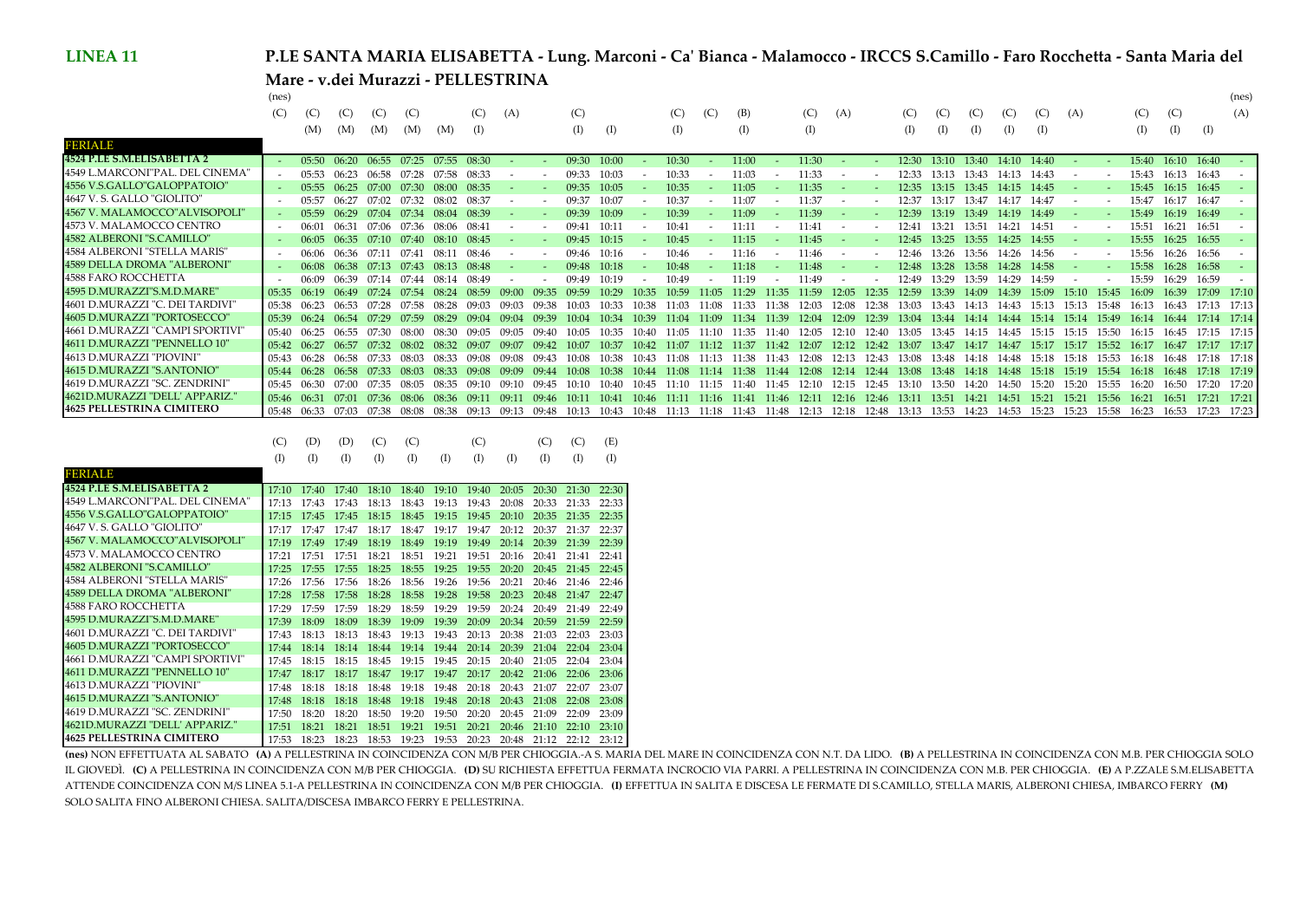## **P.LE SANTA MARIA ELISABETTA - Lung. Marconi - Ca' Bianca - Malamocco - IRCCS S.Camillo - Faro Rocchetta - Santa Maria del Mare - v.dei Murazzi - PELLESTRINA**

 $(x - x)$ 

| (C)<br>(C)<br>(A)<br>(C)<br>(C)<br>(C)<br>(C)<br>(C)<br>(C)<br>(A)<br>(B)<br>(A)<br>(C)<br>(A)<br>(C)<br>(C)<br>(C)<br>(C)<br>(C)<br>(C)<br>(C)<br>(C)<br>(I)<br>(I)<br>(I)<br>(I)<br>(I)<br>(I)<br>(M)<br>(M)<br>(M)<br>(M)<br>(I)<br>(I)<br>(M)<br>(1)<br>$\rm (I)$<br>(I)<br>(I)<br>(I)<br>(I)<br>11:30<br>16:10 16:40<br>07:25<br>10:00<br>10:30<br>11:00<br>13:40 14:10 14:40<br>15:40<br>06:20<br>06:55<br>07:55 08:30<br>09:30<br>$12:30$ $13:10$<br>05:50<br>11:33<br>15:43<br>05:53<br>09:33<br>10:03<br>10:33<br>16:13<br>16:43<br>06.23<br>06:58<br>$07 - 58$<br>08:33<br>11:03<br>12:33<br>13.43<br>14:43<br>13.13<br>14:13<br>$\overline{\phantom{a}}$<br>09:35<br>10:05<br>10:35<br>11:35<br>16:45<br>05:55<br>06.25<br>07.00<br>07:30<br>08:00<br>08:35<br>11:05<br>14:45<br>15:45<br>16:15<br>12:35<br>13:45<br>14:15<br>13.15<br>11:37<br>15:47<br>05:57<br>06.27<br>07:02<br>07.32<br>08:37<br>09:37<br>10:07<br>10:37<br>11:07<br>12:37<br>16:17<br>16:47<br>08:02<br>13:17<br>13:47<br>14:17<br>14:47<br>$\overline{\phantom{a}}$<br>06.29<br>07:34<br>09:39<br>10:09<br>10:39<br>11:39<br>16:19<br>16:49<br>05:59<br>07.04<br>08:39<br>11:09<br>12:39<br>15:49<br>08.04<br>13.19<br>13.49<br>14.19<br>14:49<br>07:36<br>15:51<br>16:21<br>16:51<br>06:31<br>07.06<br>09:41<br>10:11<br>06:01<br>08:41<br>10:41<br>11:11<br>11:41<br>12:41<br>14:51<br>08:06<br>13.21<br>13.51<br>14:21<br>$\overline{\phantom{a}}$<br>16:55<br>$06:35$ $07:10$<br>16:25<br>06:05<br>07:40<br>09:45<br>10:15<br>10:45<br>11:15<br>08:10<br>08:45<br>11:45<br>12:45<br>13.25<br>13:55<br>14:25<br>14:55<br>15:55<br>- -<br>15:56<br>16:26<br>06:36<br>$07-11$<br>07:41<br>09:46<br>10:16<br>11:46<br>16:56<br>06:06<br>08:46<br>10:46<br>11:16<br>12:46<br>08:1<br>13:26<br>13.56<br>14:26<br>- 14:56<br>. .<br>$\overline{\phantom{a}}$<br>16.28<br>16:58<br>06:08<br>06.38<br>07.13<br>11:18<br>07.43<br>08:48<br>09:48<br>10:18<br>10:48<br>11:48<br>12:48<br>13:28<br>14:28<br>14:58<br>15:58<br>08.13<br>13.58<br>16.29<br>16:59<br>(09:49)<br>10:49<br>15:59<br>06.09<br>06.39<br>$07 - 44$<br>10:19<br>$11 - 19$<br>11:49<br>12.49<br>13.29<br>13.59<br>14.29<br>14:59<br>$07-14$<br>08.49<br>16:39<br>17:09 17:10<br>06.19<br>0:59<br>11:29<br>13:39<br>15.45<br>16.09<br>$07 - 54$<br>09.59<br>10.29<br>1:35<br>11:59<br>12:35<br>12:59<br>14.09<br>14.39<br>15.09<br>$15 \cdot 10$<br>05:35<br>07.24<br>08.59<br>10.35<br>08.24<br>12:05<br>11.05<br>06.23<br>05:38<br>1.38<br>16.43<br>17:13 17:13<br>06.53<br>07.28<br>12.08<br>12.38<br>14.13<br>14:43<br>$15-48$<br>13.03<br>$13-43$<br>15.13<br>15.13.<br>05:39<br>06.24<br>07.29<br>10.39<br>11:34<br>11:39<br>12:09<br>12:39<br>17:14 17:14<br>07.59<br>08.29<br>09.0<br>0.04<br>$10-34$<br>11.04<br>11.09<br>13:44<br>14.14<br>14.44<br>$15-14$<br>$15-49$<br>16.44<br>12.04<br>13.04<br>15.14<br>16.14<br>17:15 17:15<br>06:25<br>16.45<br>05:40<br>ገ7-30<br>11.35<br>15.50<br>06.55<br>0.05<br>1.05<br>12.10<br>$12 - 40$<br>14.15<br>14.45<br>10.40<br>$1 - 40$<br>12.05<br>13.05<br>13.45<br>15.15<br>16:15<br>15.15<br>17:17 17:17<br>06.27<br>10.07<br>$10-37$<br>11:07<br>11:12 11:37<br>11:42<br>13:47<br>14:17<br>15.52<br>16.17<br>16.47<br>07.32<br>$08-32$<br>09.07<br>12:07<br>12:12<br>12:42<br>13.07<br>14:47<br>15:17<br>15.17<br>05:42<br>06.57<br>08.02<br>10:42<br>06.28<br>16.48<br>17:18 17:18<br>በ በጸ<br>$10-38$<br>$11 - 38$<br>14.18<br>05:43<br>07.33<br>1.08<br>1.43<br>15.18<br>15.18<br>$15 - 53$<br>12.08<br>12.43<br>$13-48$<br>14.48<br>በ•43<br>$12-13$<br>13.08<br>06.28<br>17:18 17:19<br>$07-33$<br>0.08<br>$10-38$<br>11:08<br>11:38<br>11:44<br>12:14<br>12:44<br>13.08<br>13.48<br>14:18<br>14.48<br>15:18<br>16.48<br>05:44<br>06.58<br>09.09<br>$10-44$<br>11.14<br>12:08<br>15.19<br>15.54<br>16.18<br>17:20 17:20<br>16.50<br>06:30<br>$14 - 50$<br>15.20<br>15.20<br>16.20<br>07.35<br>13.50<br>14.20<br>05:45<br>$11 - 40$<br>1.45<br>15.55.<br>$1-10$<br>12.10<br>12.15<br>12.45<br>13.10<br>10.45<br>11.15<br>06:31<br>15:21<br>15.21<br>17:21 17:21<br>08.06<br>09:11<br>11:11<br>11:16 11:41 11:46<br>12:11<br>12:16<br>12:46<br>13:51<br>14:21<br>14:51<br>16:21<br>16:51<br>07.01<br>07.36<br>09.11<br>$10-11$<br>10:41<br>13:11<br>15:56<br>05:46<br>08.36<br>10:46<br>16:53<br>17:23 17:23<br>15:23<br>15:23<br>06:33<br>07:03<br>07:38<br>08:08<br>14:23<br>14:53<br>15:58<br>16:23<br>05:48<br>11:48<br>12:13<br>12:48<br>08.38<br>09:13<br>09:13<br>11:13<br>11:43<br>12:18<br>13:13<br>13:53<br>10:13<br>10:43<br>10:48<br>11:18<br>09:48 |                                  | (nes) |  |  |  |  |  |  |  |  |  |  |  |  |  |  | (nes |
|-----------------------------------------------------------------------------------------------------------------------------------------------------------------------------------------------------------------------------------------------------------------------------------------------------------------------------------------------------------------------------------------------------------------------------------------------------------------------------------------------------------------------------------------------------------------------------------------------------------------------------------------------------------------------------------------------------------------------------------------------------------------------------------------------------------------------------------------------------------------------------------------------------------------------------------------------------------------------------------------------------------------------------------------------------------------------------------------------------------------------------------------------------------------------------------------------------------------------------------------------------------------------------------------------------------------------------------------------------------------------------------------------------------------------------------------------------------------------------------------------------------------------------------------------------------------------------------------------------------------------------------------------------------------------------------------------------------------------------------------------------------------------------------------------------------------------------------------------------------------------------------------------------------------------------------------------------------------------------------------------------------------------------------------------------------------------------------------------------------------------------------------------------------------------------------------------------------------------------------------------------------------------------------------------------------------------------------------------------------------------------------------------------------------------------------------------------------------------------------------------------------------------------------------------------------------------------------------------------------------------------------------------------------------------------------------------------------------------------------------------------------------------------------------------------------------------------------------------------------------------------------------------------------------------------------------------------------------------------------------------------------------------------------------------------------------------------------------------------------------------------------------------------------------------------------------------------------------------------------------------------------------------------------------------------------------------------------------------------------------------------------------------------------------------------------------------------------------------------------------------------------------------------------------------------------------------------------------------------------------------------------------------------------------------------------------------------------------------------------------------------------------------------------------------------------------------------------------------------------------------------------------------------------------------------------------------------------------------------------------------------------------------------------------------------------------------------------------------------------------------------------------------------------------------------------------------------------------------------------------------------------------------------------------------------------------------------------------------------------------------------------------------------------------------------------------------------------------------------------------------------------------------------------------------------------------------|----------------------------------|-------|--|--|--|--|--|--|--|--|--|--|--|--|--|--|------|
|                                                                                                                                                                                                                                                                                                                                                                                                                                                                                                                                                                                                                                                                                                                                                                                                                                                                                                                                                                                                                                                                                                                                                                                                                                                                                                                                                                                                                                                                                                                                                                                                                                                                                                                                                                                                                                                                                                                                                                                                                                                                                                                                                                                                                                                                                                                                                                                                                                                                                                                                                                                                                                                                                                                                                                                                                                                                                                                                                                                                                                                                                                                                                                                                                                                                                                                                                                                                                                                                                                                                                                                                                                                                                                                                                                                                                                                                                                                                                                                                                                                                                                                                                                                                                                                                                                                                                                                                                                                                                                                                                                       |                                  |       |  |  |  |  |  |  |  |  |  |  |  |  |  |  |      |
|                                                                                                                                                                                                                                                                                                                                                                                                                                                                                                                                                                                                                                                                                                                                                                                                                                                                                                                                                                                                                                                                                                                                                                                                                                                                                                                                                                                                                                                                                                                                                                                                                                                                                                                                                                                                                                                                                                                                                                                                                                                                                                                                                                                                                                                                                                                                                                                                                                                                                                                                                                                                                                                                                                                                                                                                                                                                                                                                                                                                                                                                                                                                                                                                                                                                                                                                                                                                                                                                                                                                                                                                                                                                                                                                                                                                                                                                                                                                                                                                                                                                                                                                                                                                                                                                                                                                                                                                                                                                                                                                                                       |                                  |       |  |  |  |  |  |  |  |  |  |  |  |  |  |  |      |
|                                                                                                                                                                                                                                                                                                                                                                                                                                                                                                                                                                                                                                                                                                                                                                                                                                                                                                                                                                                                                                                                                                                                                                                                                                                                                                                                                                                                                                                                                                                                                                                                                                                                                                                                                                                                                                                                                                                                                                                                                                                                                                                                                                                                                                                                                                                                                                                                                                                                                                                                                                                                                                                                                                                                                                                                                                                                                                                                                                                                                                                                                                                                                                                                                                                                                                                                                                                                                                                                                                                                                                                                                                                                                                                                                                                                                                                                                                                                                                                                                                                                                                                                                                                                                                                                                                                                                                                                                                                                                                                                                                       | BERIALE                          |       |  |  |  |  |  |  |  |  |  |  |  |  |  |  |      |
|                                                                                                                                                                                                                                                                                                                                                                                                                                                                                                                                                                                                                                                                                                                                                                                                                                                                                                                                                                                                                                                                                                                                                                                                                                                                                                                                                                                                                                                                                                                                                                                                                                                                                                                                                                                                                                                                                                                                                                                                                                                                                                                                                                                                                                                                                                                                                                                                                                                                                                                                                                                                                                                                                                                                                                                                                                                                                                                                                                                                                                                                                                                                                                                                                                                                                                                                                                                                                                                                                                                                                                                                                                                                                                                                                                                                                                                                                                                                                                                                                                                                                                                                                                                                                                                                                                                                                                                                                                                                                                                                                                       | 4524 P.LE S.M.FLISABETTA 2       |       |  |  |  |  |  |  |  |  |  |  |  |  |  |  |      |
|                                                                                                                                                                                                                                                                                                                                                                                                                                                                                                                                                                                                                                                                                                                                                                                                                                                                                                                                                                                                                                                                                                                                                                                                                                                                                                                                                                                                                                                                                                                                                                                                                                                                                                                                                                                                                                                                                                                                                                                                                                                                                                                                                                                                                                                                                                                                                                                                                                                                                                                                                                                                                                                                                                                                                                                                                                                                                                                                                                                                                                                                                                                                                                                                                                                                                                                                                                                                                                                                                                                                                                                                                                                                                                                                                                                                                                                                                                                                                                                                                                                                                                                                                                                                                                                                                                                                                                                                                                                                                                                                                                       | 4549 L.MARCONI"PAL. DEL CINEMA"  |       |  |  |  |  |  |  |  |  |  |  |  |  |  |  |      |
|                                                                                                                                                                                                                                                                                                                                                                                                                                                                                                                                                                                                                                                                                                                                                                                                                                                                                                                                                                                                                                                                                                                                                                                                                                                                                                                                                                                                                                                                                                                                                                                                                                                                                                                                                                                                                                                                                                                                                                                                                                                                                                                                                                                                                                                                                                                                                                                                                                                                                                                                                                                                                                                                                                                                                                                                                                                                                                                                                                                                                                                                                                                                                                                                                                                                                                                                                                                                                                                                                                                                                                                                                                                                                                                                                                                                                                                                                                                                                                                                                                                                                                                                                                                                                                                                                                                                                                                                                                                                                                                                                                       | 4556 V.S.GALLO"GALOPPATOIO"      |       |  |  |  |  |  |  |  |  |  |  |  |  |  |  |      |
|                                                                                                                                                                                                                                                                                                                                                                                                                                                                                                                                                                                                                                                                                                                                                                                                                                                                                                                                                                                                                                                                                                                                                                                                                                                                                                                                                                                                                                                                                                                                                                                                                                                                                                                                                                                                                                                                                                                                                                                                                                                                                                                                                                                                                                                                                                                                                                                                                                                                                                                                                                                                                                                                                                                                                                                                                                                                                                                                                                                                                                                                                                                                                                                                                                                                                                                                                                                                                                                                                                                                                                                                                                                                                                                                                                                                                                                                                                                                                                                                                                                                                                                                                                                                                                                                                                                                                                                                                                                                                                                                                                       | 4647 V.S. GALLO "GIOLITO"        |       |  |  |  |  |  |  |  |  |  |  |  |  |  |  |      |
|                                                                                                                                                                                                                                                                                                                                                                                                                                                                                                                                                                                                                                                                                                                                                                                                                                                                                                                                                                                                                                                                                                                                                                                                                                                                                                                                                                                                                                                                                                                                                                                                                                                                                                                                                                                                                                                                                                                                                                                                                                                                                                                                                                                                                                                                                                                                                                                                                                                                                                                                                                                                                                                                                                                                                                                                                                                                                                                                                                                                                                                                                                                                                                                                                                                                                                                                                                                                                                                                                                                                                                                                                                                                                                                                                                                                                                                                                                                                                                                                                                                                                                                                                                                                                                                                                                                                                                                                                                                                                                                                                                       | 4567 V. MALAMOCCO"ALVISOPOLI'    |       |  |  |  |  |  |  |  |  |  |  |  |  |  |  |      |
|                                                                                                                                                                                                                                                                                                                                                                                                                                                                                                                                                                                                                                                                                                                                                                                                                                                                                                                                                                                                                                                                                                                                                                                                                                                                                                                                                                                                                                                                                                                                                                                                                                                                                                                                                                                                                                                                                                                                                                                                                                                                                                                                                                                                                                                                                                                                                                                                                                                                                                                                                                                                                                                                                                                                                                                                                                                                                                                                                                                                                                                                                                                                                                                                                                                                                                                                                                                                                                                                                                                                                                                                                                                                                                                                                                                                                                                                                                                                                                                                                                                                                                                                                                                                                                                                                                                                                                                                                                                                                                                                                                       | 4573 V. MALAMOCCO CENTRO         |       |  |  |  |  |  |  |  |  |  |  |  |  |  |  |      |
|                                                                                                                                                                                                                                                                                                                                                                                                                                                                                                                                                                                                                                                                                                                                                                                                                                                                                                                                                                                                                                                                                                                                                                                                                                                                                                                                                                                                                                                                                                                                                                                                                                                                                                                                                                                                                                                                                                                                                                                                                                                                                                                                                                                                                                                                                                                                                                                                                                                                                                                                                                                                                                                                                                                                                                                                                                                                                                                                                                                                                                                                                                                                                                                                                                                                                                                                                                                                                                                                                                                                                                                                                                                                                                                                                                                                                                                                                                                                                                                                                                                                                                                                                                                                                                                                                                                                                                                                                                                                                                                                                                       | 4582 ALBERONI "S.CAMILLO"        |       |  |  |  |  |  |  |  |  |  |  |  |  |  |  |      |
|                                                                                                                                                                                                                                                                                                                                                                                                                                                                                                                                                                                                                                                                                                                                                                                                                                                                                                                                                                                                                                                                                                                                                                                                                                                                                                                                                                                                                                                                                                                                                                                                                                                                                                                                                                                                                                                                                                                                                                                                                                                                                                                                                                                                                                                                                                                                                                                                                                                                                                                                                                                                                                                                                                                                                                                                                                                                                                                                                                                                                                                                                                                                                                                                                                                                                                                                                                                                                                                                                                                                                                                                                                                                                                                                                                                                                                                                                                                                                                                                                                                                                                                                                                                                                                                                                                                                                                                                                                                                                                                                                                       | 4584 ALBERONI "STELLA MARIS"     |       |  |  |  |  |  |  |  |  |  |  |  |  |  |  |      |
|                                                                                                                                                                                                                                                                                                                                                                                                                                                                                                                                                                                                                                                                                                                                                                                                                                                                                                                                                                                                                                                                                                                                                                                                                                                                                                                                                                                                                                                                                                                                                                                                                                                                                                                                                                                                                                                                                                                                                                                                                                                                                                                                                                                                                                                                                                                                                                                                                                                                                                                                                                                                                                                                                                                                                                                                                                                                                                                                                                                                                                                                                                                                                                                                                                                                                                                                                                                                                                                                                                                                                                                                                                                                                                                                                                                                                                                                                                                                                                                                                                                                                                                                                                                                                                                                                                                                                                                                                                                                                                                                                                       | 4589 DELLA DROMA "ALBERONI"      |       |  |  |  |  |  |  |  |  |  |  |  |  |  |  |      |
|                                                                                                                                                                                                                                                                                                                                                                                                                                                                                                                                                                                                                                                                                                                                                                                                                                                                                                                                                                                                                                                                                                                                                                                                                                                                                                                                                                                                                                                                                                                                                                                                                                                                                                                                                                                                                                                                                                                                                                                                                                                                                                                                                                                                                                                                                                                                                                                                                                                                                                                                                                                                                                                                                                                                                                                                                                                                                                                                                                                                                                                                                                                                                                                                                                                                                                                                                                                                                                                                                                                                                                                                                                                                                                                                                                                                                                                                                                                                                                                                                                                                                                                                                                                                                                                                                                                                                                                                                                                                                                                                                                       | <b>4588 FARO ROCCHETTA</b>       |       |  |  |  |  |  |  |  |  |  |  |  |  |  |  |      |
|                                                                                                                                                                                                                                                                                                                                                                                                                                                                                                                                                                                                                                                                                                                                                                                                                                                                                                                                                                                                                                                                                                                                                                                                                                                                                                                                                                                                                                                                                                                                                                                                                                                                                                                                                                                                                                                                                                                                                                                                                                                                                                                                                                                                                                                                                                                                                                                                                                                                                                                                                                                                                                                                                                                                                                                                                                                                                                                                                                                                                                                                                                                                                                                                                                                                                                                                                                                                                                                                                                                                                                                                                                                                                                                                                                                                                                                                                                                                                                                                                                                                                                                                                                                                                                                                                                                                                                                                                                                                                                                                                                       | 4595 D.MURAZZI"S.M.D.MARE"       |       |  |  |  |  |  |  |  |  |  |  |  |  |  |  |      |
|                                                                                                                                                                                                                                                                                                                                                                                                                                                                                                                                                                                                                                                                                                                                                                                                                                                                                                                                                                                                                                                                                                                                                                                                                                                                                                                                                                                                                                                                                                                                                                                                                                                                                                                                                                                                                                                                                                                                                                                                                                                                                                                                                                                                                                                                                                                                                                                                                                                                                                                                                                                                                                                                                                                                                                                                                                                                                                                                                                                                                                                                                                                                                                                                                                                                                                                                                                                                                                                                                                                                                                                                                                                                                                                                                                                                                                                                                                                                                                                                                                                                                                                                                                                                                                                                                                                                                                                                                                                                                                                                                                       | 4601 D.MURAZZI "C. DEI TARDIVI"  |       |  |  |  |  |  |  |  |  |  |  |  |  |  |  |      |
|                                                                                                                                                                                                                                                                                                                                                                                                                                                                                                                                                                                                                                                                                                                                                                                                                                                                                                                                                                                                                                                                                                                                                                                                                                                                                                                                                                                                                                                                                                                                                                                                                                                                                                                                                                                                                                                                                                                                                                                                                                                                                                                                                                                                                                                                                                                                                                                                                                                                                                                                                                                                                                                                                                                                                                                                                                                                                                                                                                                                                                                                                                                                                                                                                                                                                                                                                                                                                                                                                                                                                                                                                                                                                                                                                                                                                                                                                                                                                                                                                                                                                                                                                                                                                                                                                                                                                                                                                                                                                                                                                                       | 4605 D.MURAZZI "PORTOSECCO"      |       |  |  |  |  |  |  |  |  |  |  |  |  |  |  |      |
|                                                                                                                                                                                                                                                                                                                                                                                                                                                                                                                                                                                                                                                                                                                                                                                                                                                                                                                                                                                                                                                                                                                                                                                                                                                                                                                                                                                                                                                                                                                                                                                                                                                                                                                                                                                                                                                                                                                                                                                                                                                                                                                                                                                                                                                                                                                                                                                                                                                                                                                                                                                                                                                                                                                                                                                                                                                                                                                                                                                                                                                                                                                                                                                                                                                                                                                                                                                                                                                                                                                                                                                                                                                                                                                                                                                                                                                                                                                                                                                                                                                                                                                                                                                                                                                                                                                                                                                                                                                                                                                                                                       | 4661 D.MURAZZI "CAMPI SPORTIVI   |       |  |  |  |  |  |  |  |  |  |  |  |  |  |  |      |
|                                                                                                                                                                                                                                                                                                                                                                                                                                                                                                                                                                                                                                                                                                                                                                                                                                                                                                                                                                                                                                                                                                                                                                                                                                                                                                                                                                                                                                                                                                                                                                                                                                                                                                                                                                                                                                                                                                                                                                                                                                                                                                                                                                                                                                                                                                                                                                                                                                                                                                                                                                                                                                                                                                                                                                                                                                                                                                                                                                                                                                                                                                                                                                                                                                                                                                                                                                                                                                                                                                                                                                                                                                                                                                                                                                                                                                                                                                                                                                                                                                                                                                                                                                                                                                                                                                                                                                                                                                                                                                                                                                       | 4611 D.MURAZZI "PENNELLO 10"     |       |  |  |  |  |  |  |  |  |  |  |  |  |  |  |      |
|                                                                                                                                                                                                                                                                                                                                                                                                                                                                                                                                                                                                                                                                                                                                                                                                                                                                                                                                                                                                                                                                                                                                                                                                                                                                                                                                                                                                                                                                                                                                                                                                                                                                                                                                                                                                                                                                                                                                                                                                                                                                                                                                                                                                                                                                                                                                                                                                                                                                                                                                                                                                                                                                                                                                                                                                                                                                                                                                                                                                                                                                                                                                                                                                                                                                                                                                                                                                                                                                                                                                                                                                                                                                                                                                                                                                                                                                                                                                                                                                                                                                                                                                                                                                                                                                                                                                                                                                                                                                                                                                                                       | 4613 D.MURAZZI "PIOVINI"         |       |  |  |  |  |  |  |  |  |  |  |  |  |  |  |      |
|                                                                                                                                                                                                                                                                                                                                                                                                                                                                                                                                                                                                                                                                                                                                                                                                                                                                                                                                                                                                                                                                                                                                                                                                                                                                                                                                                                                                                                                                                                                                                                                                                                                                                                                                                                                                                                                                                                                                                                                                                                                                                                                                                                                                                                                                                                                                                                                                                                                                                                                                                                                                                                                                                                                                                                                                                                                                                                                                                                                                                                                                                                                                                                                                                                                                                                                                                                                                                                                                                                                                                                                                                                                                                                                                                                                                                                                                                                                                                                                                                                                                                                                                                                                                                                                                                                                                                                                                                                                                                                                                                                       | 4615 D.MURAZZI "S.ANTONIO"       |       |  |  |  |  |  |  |  |  |  |  |  |  |  |  |      |
|                                                                                                                                                                                                                                                                                                                                                                                                                                                                                                                                                                                                                                                                                                                                                                                                                                                                                                                                                                                                                                                                                                                                                                                                                                                                                                                                                                                                                                                                                                                                                                                                                                                                                                                                                                                                                                                                                                                                                                                                                                                                                                                                                                                                                                                                                                                                                                                                                                                                                                                                                                                                                                                                                                                                                                                                                                                                                                                                                                                                                                                                                                                                                                                                                                                                                                                                                                                                                                                                                                                                                                                                                                                                                                                                                                                                                                                                                                                                                                                                                                                                                                                                                                                                                                                                                                                                                                                                                                                                                                                                                                       | 4619 D.MURAZZI "SC. ZENDRINI"    |       |  |  |  |  |  |  |  |  |  |  |  |  |  |  |      |
|                                                                                                                                                                                                                                                                                                                                                                                                                                                                                                                                                                                                                                                                                                                                                                                                                                                                                                                                                                                                                                                                                                                                                                                                                                                                                                                                                                                                                                                                                                                                                                                                                                                                                                                                                                                                                                                                                                                                                                                                                                                                                                                                                                                                                                                                                                                                                                                                                                                                                                                                                                                                                                                                                                                                                                                                                                                                                                                                                                                                                                                                                                                                                                                                                                                                                                                                                                                                                                                                                                                                                                                                                                                                                                                                                                                                                                                                                                                                                                                                                                                                                                                                                                                                                                                                                                                                                                                                                                                                                                                                                                       | 4621D.MURAZZI "DELL' APPARIZ."   |       |  |  |  |  |  |  |  |  |  |  |  |  |  |  |      |
|                                                                                                                                                                                                                                                                                                                                                                                                                                                                                                                                                                                                                                                                                                                                                                                                                                                                                                                                                                                                                                                                                                                                                                                                                                                                                                                                                                                                                                                                                                                                                                                                                                                                                                                                                                                                                                                                                                                                                                                                                                                                                                                                                                                                                                                                                                                                                                                                                                                                                                                                                                                                                                                                                                                                                                                                                                                                                                                                                                                                                                                                                                                                                                                                                                                                                                                                                                                                                                                                                                                                                                                                                                                                                                                                                                                                                                                                                                                                                                                                                                                                                                                                                                                                                                                                                                                                                                                                                                                                                                                                                                       | <b>4625 PELLESTRINA CIMITERO</b> |       |  |  |  |  |  |  |  |  |  |  |  |  |  |  |      |

|                                   | (C)       | (D)       | (D)       | (C)   | (C)   |           | (C)   |         | (C)   | (C)   | (E)       |
|-----------------------------------|-----------|-----------|-----------|-------|-------|-----------|-------|---------|-------|-------|-----------|
|                                   | (I)       | (I)       | (I)       | (I)   | (I)   | (I)       | $($ I | (1)     | (I)   | (I)   | (I)       |
| <b>FERIALE</b>                    |           |           |           |       |       |           |       |         |       |       |           |
| 4524 P.I.E.S.M. ELISABETTA 2      | $17-10$   | 17:40     | 17:40     | 18:10 | 18:40 | 19:10     | 19:40 | 20:05   | 20:30 | 21:30 | 22:30     |
| 4549 L.MARCONI"PAL. DEL CINEMA"   | $17 - 13$ | 17:43     | 17:43     | 18:13 | 18:43 | 19:13     | 19:43 | 20:08   | 20:33 | 21:33 | 22:33     |
| 4556 V S GALLO"GALOPPATOIO"       | $17 - 15$ | $17 - 45$ | $17 - 45$ | 18:15 | 18:45 | 19:15     | 19:45 | 20:10   | 20:35 | 21:35 | 22:35     |
| 4647 V. S. GALLO "GIOLITO"        | $17 - 17$ | $17 - 47$ | 17.47     | 18.17 | 18:47 | 19.17     | 19.47 | $20-12$ | 20:37 | 21:37 | 22:37     |
| 4567 V. MALAMOCCO" ALVISOPOLI"    | 17.19     | $17 - 49$ | 17.49     | 18.19 | 18:49 | 19.19     | 19.49 | 20:14   | 20:39 | 21:39 | 22:39     |
| 4573 V. MALAMOCCO CENTRO          | 17.21     | 17.51     | $17 - 51$ | 18.21 | 18:51 | 19:21     | 19.51 | 20:16   | 20:41 | 21:41 | 22:41     |
| 4582 ALBERONI "S.CAMILLO"         | $17 - 25$ | $17 - 55$ | $17 - 55$ | 18:25 | 18:55 | 19.25     | 19:55 | 20:20   | 20:45 | 21:45 | 22:45     |
| 4584 ALBERONI "STELLA MARIS"      | 17:26     | 17:56     | 17:56     | 18:26 | 18:56 | 19:26     | 19:56 | 20:21   | 20:46 | 21:46 | 22:46     |
| 4589 DELLA DROMA "ALBERONI"       | 17:28     | 17:58     | 17:58     | 18:28 | 18:58 | 19:28     | 19:58 | 20:23   | 20:48 | 21:47 | 22:47     |
| 4588 FARO ROCCHETTA               | 17.29     | 17.59     | 17:59     | 18:29 | 18:59 | 19.29     | 19:59 | 20:24   | 20.49 | 21:49 | 22:49     |
| 4595 D.MURAZZI''S.M.D.MARE''      | 17.39     | 18.09     | 18.09     | 18.39 | 19.09 | 19:39     | 20:09 | 20:34   | 20:59 | 21:59 | 22:59     |
| 4601 D.MURAZZI "C. DEI TARDIVI"   | $17 - 43$ | 18.13     | 18.13     | 18.43 | 19.13 | 19.43     | 20.13 | 20:38   | 21:03 | 22:03 | $23 - 03$ |
| 4605 D MURAZZI "PORTOSECCO"       | 17.44     | 18.14     | 18.14     | 18:44 | 19.14 | 19.44     | 20:14 | 20:39   | 21:04 | 22:04 | 23:04     |
| 4661 D MI IRAZZI "CAMPI SPORTIVI" | $17 - 45$ | 18:15     | 18:15     | 18:45 | 19:15 | 19.45     | 20:15 | 20:40   | 21:05 | 22:04 | 23:04     |
| 4611 D MI IR A Z ZI "PENNELLO 10" | 17.47     | 18.17     | 18:17     | 18:47 | 19.17 | 19:47     | 20:17 | 20:42   | 21:06 | 22:06 | 23:06     |
| 4613 D.MURAZZI "PIOVINI"          | 17:48     | 18.18     | 18.18     | 18:48 | 19.18 | 19.48     | 20.18 | 20:43   | 21.07 | 22:07 | 23:07     |
| 4615 D.MURAZZI "S.ANTONIO"        | $17 - 48$ | 18:18     | 18:18     | 18:48 | 19:18 | 19:48     | 20:18 | 20:43   | 21:08 | 22:08 | 23:08     |
| 4619 D.MURAZZI "SC. ZENDRINI"     | 17:50     | 18.20     | 18.20     | 18:50 | 19:20 | 19.50     | 20.20 | 20:45   | 21.09 | 22:09 | 23:09     |
| 4621D MURAZZI "DELL' APPARIZ "    | 17:51     | 18:21     | 18:21     | 18:51 | 19:21 | $19 - 51$ | 20:21 | 20:46   | 21:10 | 22:10 | 23:10     |
| <b>4625 PELLESTRINA CIMITERO</b>  | 17:53     | 18:23     | 18:23     | 18:53 | 19:23 | 19:53     | 20:23 | 20:48   | 21:12 | 22:12 | 23:12     |

4625 FELLESTRINA CIMITERO 17:53–18:23–18:23–18:33–19:33–19:33–19:33–20:48–21:12–22:12–23:12–23:12–23:12–23:12<br>(nes) NON EFFETTUATA AL SABATO (A) A PELLESTRINA IN COINCIDENZA CON MB PER CHIOGGIA.-A S. MARIA DEL MARE IN COIN IL GIOVEDÌ. **(C)** A PELLESTRINA IN COINCIDENZA CON M/B PER CHIOGGIA. **(D)** SU RICHIESTA EFFETTUA FERMATA INCROCIO VIA PARRI. A PELLESTRINA IN COINCIDENZA CON M.B. PER CHIOGGIA. **(E)** A P.ZZALE S.M.ELISABETTA ATTENDE COINCIDENZA CON M/S LINEA 5.1-A PELLESTRINA IN COINCIDENZA CON M/B PER CHIOGGIA. **(I)** EFFETTUA IN SALITA E DISCESA LE FERMATE DI S.CAMILLO, STELLA MARIS, ALBERONI CHIESA, IMBARCO FERRY **(M)** SOLO SALITA FINO ALBERONI CHIESA. SALITA/DISCESA IMBARCO FERRY E PELLESTRINA.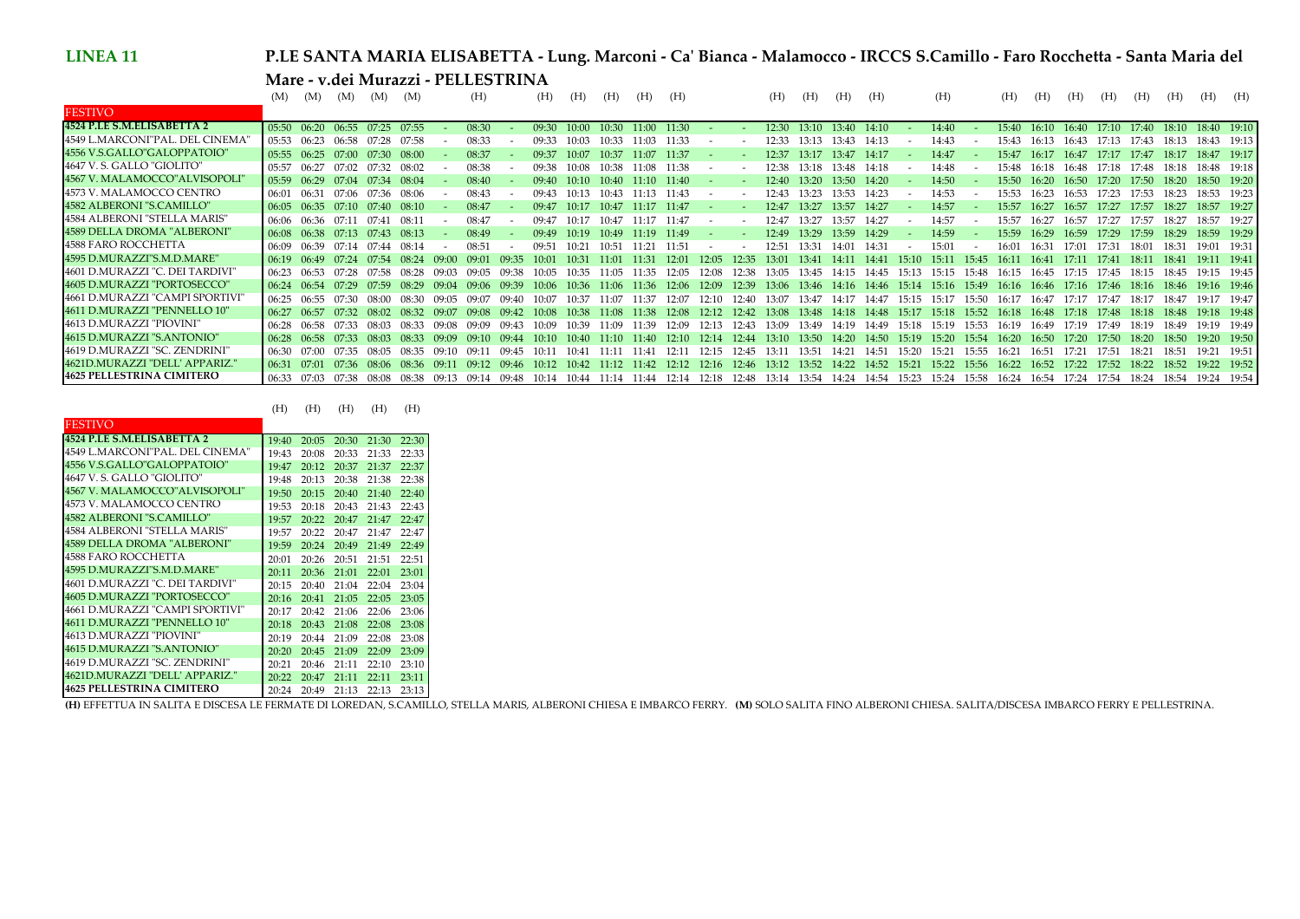## **P.LE SANTA MARIA ELISABETTA - Lung. Marconi - Ca' Bianca - Malamocco - IRCCS S.Camillo - Faro Rocchetta - Santa Maria del Mare - v.dei Murazzi - PELLESTRINA**

|                                 | (M)   | (M)             | (M)         | (M)     | (M)      |         | (H)    |       | (H)     | (H)     | (H)     | (H)         | (H)      |       |                   | (H)       | (H)     | (H)     | (H)       |         | (H)     |       | (H)   | (H)         | (H)             | (H)                     | (H)       | (H)               | (H)         | (H)         |
|---------------------------------|-------|-----------------|-------------|---------|----------|---------|--------|-------|---------|---------|---------|-------------|----------|-------|-------------------|-----------|---------|---------|-----------|---------|---------|-------|-------|-------------|-----------------|-------------------------|-----------|-------------------|-------------|-------------|
| <b>FESTIVO</b>                  |       |                 |             |         |          |         |        |       |         |         |         |             |          |       |                   |           |         |         |           |         |         |       |       |             |                 |                         |           |                   |             |             |
| 4524 P.LE S.M.ELISABETTA 2      | 05:50 |                 | 06:20 06:55 | 07:25   | 07:55    |         | 08:30  |       | 09:30   | 10.00   | 10:30   | 11:00 11:30 |          |       |                   | 12:30     | 13:10   | 13:40   | $-14:10$  |         | 14:40   |       | 15:40 |             |                 | 16:10 16:40 17:10 17:40 |           | 18:10 18:40 19:10 |             |             |
| 4549 L.MARCONI"PAL. DEL CINEMA" | 05:53 | 06:23           | 06:58       | 07.28   | 07:58    |         | 08:33  |       | 09.33   | 10.03   | 0.33    |             | 11:33    |       |                   | 12.33.    | $13-13$ | 13:43   | 14:13     |         | 14:43   |       | 15.43 | 16.13       | 16.43           | 17.13                   | 7.43      | 18.13             | 18:43 19:13 |             |
| 4556 V.S.GALLO"GALOPPATOIO"     | 05:55 | 06:25           | 07.00       | 07:30   | 08:00    |         | 08:37  |       | 09.37   | $10-07$ | 10:37   | 11:07       | 11:37    |       |                   | 12:37     | 13.17   | 13:47   | 14:17     |         | 14:47   |       | 15:47 | 16:17       | 16.47           | 17:17                   | 17:47     | 18:17             |             | 18:47 19:17 |
| 4647 V.S. GALLO "GIOLITO"       | 05:57 | 06:27           | 07.02       | 07.32   | 08:02    |         | 08:38  |       | 09:38   | $10-08$ | 10:38   | 11:08       | 11:38    |       |                   | 12.38     | 13.18   | 13:48   | -14:18    |         | 14:48   |       | 15:48 | 16:18       | 16.48           | 17:18                   | 17:48     | 18.18             | 18:48 19:18 |             |
| 4567 V. MALAMOCCO" ALVISOPOLI'  | 05:59 | 06:29           | 07.04       | 07.34   | 08.04    |         | 08:40  |       | 09:40   | $10-10$ | 10:40.  | -11-10-     | - 11:40  |       |                   | $12 - 40$ | 13.20   | 13:50   | 14:20     |         | 14:50   |       | 15:50 | 16:20       | 16:50           | 17.20                   | 17:50     | 18.20             | 18:50 19:20 |             |
| 4573 V. MALAMOCCO CENTRO        | 06:01 | 06:31           | 07.06       | 07:36   | 08:06    |         | 08:43  |       | 09:43   |         | 10:43.  | $11-13$     | 11:43    |       |                   | 12.43     | 13.23   | 13:53   | 14:23     |         | 14:53   |       | 15:53 | 16.23       | 16.53           | 17:23                   | 17:53     | 18.23             | 18:53 19:23 |             |
| 4582 ALBERONI "S.CAMILLO"       | 06:05 | $06:35$ $07:10$ |             | 07:40   | 08:10    |         | 08:47  |       | 09:47   | 10.17   | 10:47   | 11:17       | $-11:47$ |       |                   | 12:47     | 13:27   | 13:57   | 14:27     |         | 14:57   |       | 15:57 | 16.27       | 16:57           | 17:27                   | $17 - 57$ | 18.27             |             | 18:57 19:27 |
| 4584 ALBERONI "STELLA MARIS"    | 06:06 | 06:36           |             | $07-41$ | $08 - 1$ |         | 08:47  |       | 09.47   |         | 0.47    |             | 11:47    |       |                   |           | 13.27   | 13:57   | 14:27     |         | 14:57   |       | 15:57 | 16.27       | 16:57           | 17.27                   | 7.57      | 18.27             | 18:57       | 19:27       |
| 4589 DELLA DROMA "ALBERONI"     | 06:08 | 06:38           | 07:13       | 07:43   | 08:13    |         | 08:49  |       | 09.49   | $10-19$ | 10:49   | 11:19       | 11:49    |       |                   | 12:49     | 13:29   | 13:59   | 14:29     |         | 14:59   |       | 15:59 | 16:29       | 16:59           | 17:29                   | 17:59     | 18:29             |             | 18:59 19:29 |
| 4588 FARO ROCCHETTA             | 06:09 | 06.39           | 07.14       | 07.44   | $08-14$  |         | 08:51  |       | 09.51   | 10.21   | 10:51   | 11:21       | -11:51   |       |                   | 12:51     | 13:31   | 14:01   | 14:31     |         | 15:01   |       | 16:01 | 16:31       | 17.01           | 17:31                   | 18.01     | 18.31             | 19.01       | 19:31       |
| 4595 D.MURAZZI"S.M.D.MARE"      | 06:19 | 06.49           | 07.24       | 07.54   | 08.24    |         | 09.01  | 09.35 | $10-01$ | $10-31$ | 11.01   | $11-31$     | 12:01    | 12:05 | 12:35             | 13.01     | 13.41   | 14:11   | 14.41     | $15-10$ | $15-11$ | 15.45 | 16.11 | 16.41       | 17.11           | $17-41$                 | 18.11     | 18:41             | 19:11 19:41 |             |
| 4601 D.MURAZZI "C. DEI TARDIVI" | 06:23 | 06:53           |             | 07.58   | 08.28    | 09.03   | 09.05  | 09.38 | 10.05   | 10:35   | 11:05   | 11:35       | 12:05    | 12:08 | 12:38             | 13:05     | 13:45   | 14:15   | 14:45     | 15 13   | 15:15   | 15.48 | 16:15 | 16:45       | 17.15           | 17.45                   | 18.15     | 18.45             | 19:15 19:45 |             |
| 4605 D.MURAZZI "PORTOSECCO"     | 06:24 | 06:54           | 07.29       | 07.59   | 08.29    |         |        | 09.39 | 10.06   | 10.36   | 11:06   | 11.36       | 12:06    | 12.09 | 12:39             | 13:06     | -13:46  | 14:16   | 14.46     | 15.14   | 15.16   | 15.49 |       | 16:16 16:46 | $17.16$ $17.46$ |                         | 18.16     | 18.46             |             | 19:16 19:46 |
| 4661 D.MURAZZI "CAMPI SPORTIVI  | 06.25 | $06 - 55$       |             | 08.00   | 08.30    |         |        |       | 10.07   | 10.37   |         | 11.37       | 12.07    | 12.10 | 12:40             | 13.07     | 13.47   | 14.17   |           | 15.15   | 15.17   | 15.50 | 16:17 | 16.47       | 17.17           | $17 - 47$               | 18.17     | 18.47             | 19:17 19:47 |             |
| 4611 D.MURAZZI "PENNELLO 10"    | 06.27 | 06:57           | 07:32       | 08:02   | 08.32    | 09.07   | -09.08 | 09.42 | $10-08$ | 10.38   | 11:08   | 11:38       | 12:08    |       | 12:12 12:42 13:08 |           | 13:48   | - 14:18 | - 14:48   | 15:17   | - 15:18 | 15:52 | 16.18 | - 16:48     | $17.18$ $17.48$ |                         | 18.18     | 18.48             | 19:18 19:48 |             |
| 4613 D.MURAZZI "PIOVINI"        | 06:28 | 06:58           | 07.33       | -08.03  | 08.33    | 09.08   | 09.09  | 09.43 | 10፡09   | 10.39   | 11.09   | $11-39$     | 12:09    | 12.13 | 12.43             | 13.09     | 13:49   | 14.19   | 14.49     | 15.18   | 15.19   | 15:53 | 16.19 | 16.49       | 17.19           | 17.49                   | 8.19      | 18.49             | 19:19 19:49 |             |
| 4615 D.MURAZZI "S.ANTONIO"      | 06:28 | 06:58           | 07.33       | $08-03$ | 08.33    |         |        |       | $10-10$ | 10.40   | $11-10$ | 11.40       | 12.10    | 12.14 | 12.44             | 13.10     | 13:50   | 14.20   | $14 - 50$ | 15.19   | 15:20   | 15.54 | 16.20 | 16.50       | 17.20           | $17 - 50$               | 18.20     | $18 - 50$         | 19:20 19:50 |             |
| 4619 D.MURAZZI "SC. ZENDRINI"   | 06:30 |                 | 07.35       | 08.05   | 08.35    | 09.10   | $09-1$ | 09.45 | $10-1$  | 10.41   | 11-11   | $11 - 41$   | 12:11    | 12.15 | 12:45             | 13:11     | 13:51   | 14:21   | 14:51     | 15:20   | 15.21   | 15:55 | 16.21 | 16:51       | 17.21           | $17 - 51$               | 18.21     | 18:51             | 19.21       | 19:51       |
| 4621D.MURAZZI "DELL' APPARIZ."  | 06:31 | 07.01           | -07:36      | - 08:06 | 08.36    | $09-11$ | 09.12  | 09.46 | $10-12$ | 10.42   | 11:12   | $11-42$     | 12.12    | 12:16 | 12:46             | 13:12     | 13.52   | 14:22   | 14.52     | 15.21   | 15.22   | 15:56 | 16.22 | 16.52       | 17.22           | 17.52                   | 18.22     |                   |             | 19:22 19:52 |
| 4625 PELLESTRINA CIMITERO       | 06:33 | 07:03           | 07.38       | 08:08   | 08:38    | $09-13$ | 09:14  | 09:48 | 10:14   | 10:44   | 11:14   | 11:44       | 12:14    | 12:18 | 12:48             | 13:14     | 13:54   | 14:24   | 14:54     | 15:23   | 15:24   | 15:58 | 16:24 | 16:54       | 17:24           | 17:54                   | 18:24     | 18:54             | 19:24 19:54 |             |

| <b>FESTIVO</b>                   |       |       |       |       |       |
|----------------------------------|-------|-------|-------|-------|-------|
| 4524 P.LE S.M.FLISABETTA 2       | 19:40 | 20:05 | 20:30 | 21:30 | 22:30 |
| 4549 L.MARCONI"PAL. DEL CINEMA"  | 19:43 | 20:08 | 20:33 | 21:33 | 22:33 |
| 4556 V.S.GALLO"GALOPPATOIO"      | 19:47 | 20:12 | 20:37 | 21:37 | 22:37 |
| 4647 V. S. GALLO "GIOLITO"       | 19:48 | 20:13 | 20:38 | 21:38 | 22:38 |
| 4567 V. MALAMOCCO" ALVISOPOLI"   | 19:50 | 20:15 | 20:40 | 21:40 | 22:40 |
| 4573 V. MALAMOCCO CENTRO         | 19:53 | 20:18 | 20:43 | 21:43 | 22:43 |
| 4582 ALBERONI "S.CAMILLO"        | 19:57 | 20:22 | 20:47 | 21:47 | 22:47 |
| 4584 ALBERONI "STELLA MARIS"     | 19:57 | 20:22 | 20:47 | 21:47 | 22:47 |
| 4589 DELLA DROMA "ALBERONI"      | 19:59 | 20:24 | 20:49 | 21:49 | 22:49 |
| 4588 FARO ROCCHETTA              | 20:01 | 20:26 | 20:51 | 21:51 | 22:51 |
| 4595 D.MURAZZI"S.M.D.MARE"       | 20:11 | 20:36 | 21:01 | 22:01 | 23:01 |
| 4601 D.MURAZZI "C. DEI TARDIVI"  | 20:15 | 20:40 | 21:04 | 22:04 | 23:04 |
| 4605 D.MURAZZI "PORTOSECCO"      | 20:16 | 20:41 | 21:05 | 22:05 | 23:05 |
| 4661 D.MURAZZI "CAMPI SPORTIVI"  | 20:17 | 20:42 | 21:06 | 22:06 | 23:06 |
| 4611 D.MURAZZI "PENNELLO 10"     | 20:18 | 20:43 | 21:08 | 22:08 | 23:08 |
| 4613 D.MURAZZI "PIOVINI"         | 20:19 | 20:44 | 21:09 | 22:08 | 23:08 |
| 4615 D.MURAZZI "S.ANTONIO"       | 20:20 | 20:45 | 21:09 | 22:09 | 23:09 |
| 4619 D.MURAZZI "SC. ZENDRINI"    | 20:21 | 20:46 | 21:11 | 22:10 | 23:10 |
| 4621D.MURAZZI "DELL' APPARIZ."   | 20:22 | 20:47 | 21:11 | 22:11 | 23:11 |
| <b>4625 PELLESTRINA CIMITERO</b> | 20:24 | 20:49 | 21:13 | 22:13 | 23:13 |

4625 FELLESTRINA CIMITERO 12024-2024-2023-22:13-22:13-23:13 |<br>(H) EFFETTUA IN SALITA E DISCESA LE FERMATE DI LOREDAN, S.CAMILLO, STELLA MARIS, ALBERONI CHIESA E IMBARCO FERRY. (M) SOLO SALITA FINO ALBERONI CHIESA. SALITA/D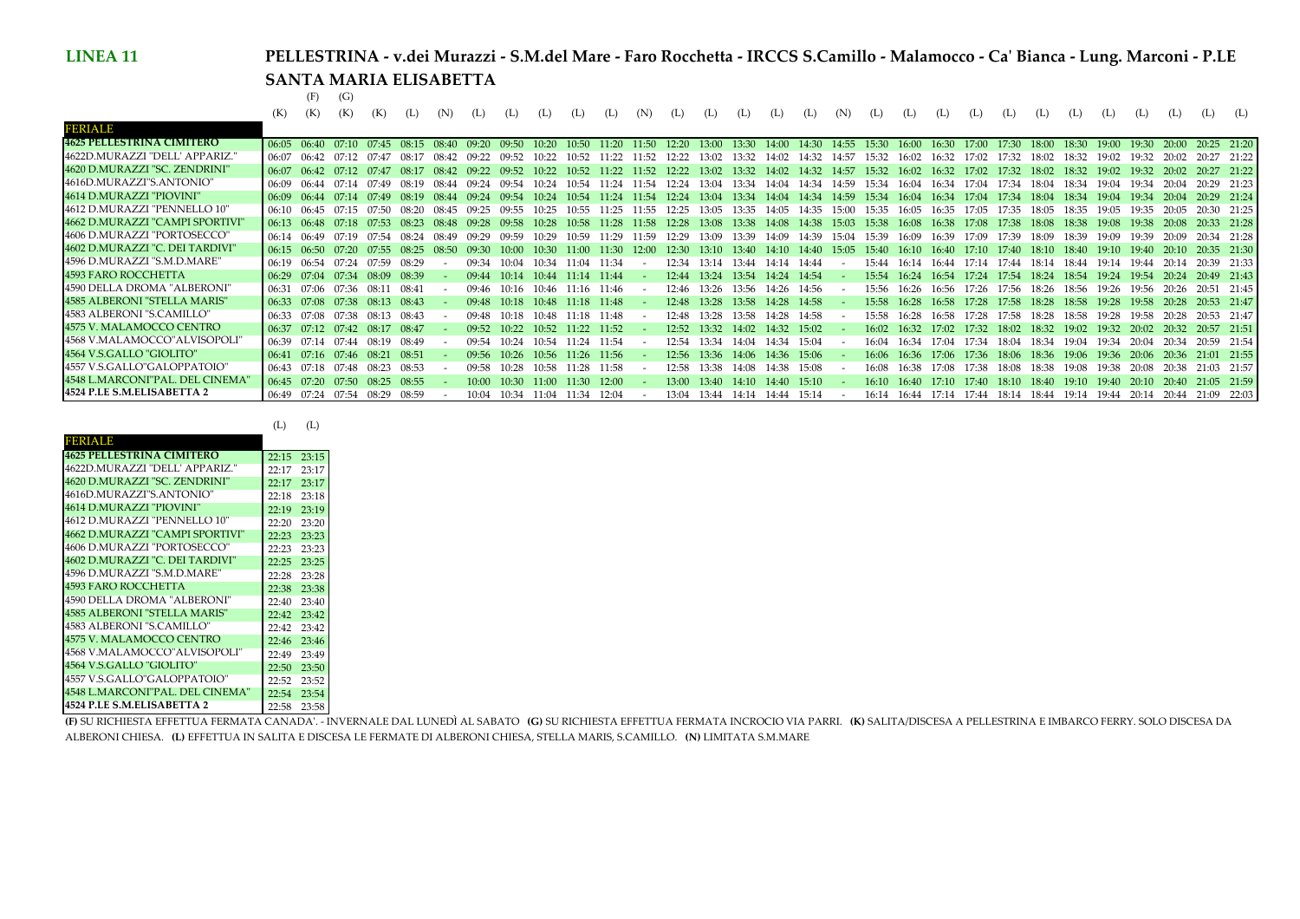## **PELLESTRINA - v.dei Murazzi - S.M.del Mare - Faro Rocchetta - IRCCS S.Camillo - Malamocco - Ca' Bianca - Lung. Marconi - P.LE SANTA MARIA ELISABETTA**

07:20 07:50 08:25 08:55 - 10:00 10:30 11:00 11:30 12:00 - 13:00 13:40 14:10 14:40 15:10 - 16:10 16:40 17:10 17:40 18:10 18:40 19:10 19:40 20:10 20:40 21:05 21:59

07:24 07:54 08:29 08:59 - 10:04 10:34 11:04 11:34 12:04 - 13:04 13:44 14:14 14:44 15:14 - 16:14 16:44 17:14 17:44 18:14 18:44 19:14 19:44 20:14 20:44 21:09 22:03

(F) (G)

|                                  |                 | (F)             | (G)                           |       |                               |         |                 |                     |                               |          |                               |             |                   |                               |       |             |                               |         |       |             |       |                                           |       |             |       |                               |         |                                                                         |                   |       |
|----------------------------------|-----------------|-----------------|-------------------------------|-------|-------------------------------|---------|-----------------|---------------------|-------------------------------|----------|-------------------------------|-------------|-------------------|-------------------------------|-------|-------------|-------------------------------|---------|-------|-------------|-------|-------------------------------------------|-------|-------------|-------|-------------------------------|---------|-------------------------------------------------------------------------|-------------------|-------|
|                                  | (K)             | (K)             |                               |       |                               | (N)     |                 | (L)                 | (L)                           | (L)      | (L)                           | (N)         | (L)               | (L)                           | (L)   | (L)         | (L)                           | (N)     | (L)   | (L)         | (L)   | (L)                                       | (L)   | (L)         | (L)   | (L)                           |         |                                                                         | (L)               | (L)   |
| <b>FERIALE</b>                   |                 |                 |                               |       |                               |         |                 |                     |                               |          |                               |             |                   |                               |       |             |                               |         |       |             |       |                                           |       |             |       |                               |         |                                                                         |                   |       |
| <b>4625 PELLESTRINA CIMITERO</b> | 06:05           | 06:40           | 07:10                         | 07:45 | 08.15                         | $08-40$ | 09.20           | 09:50               | 10:20                         | -10:50 - | 11:20                         |             | 11:50 12:20       | 13:00                         |       | 13:30 14:00 | 14:30 14:55                   |         | 15:30 |             |       | 16:00 16:30 17:00 17:30 18:00 18:30 19:00 |       |             |       |                               | 19:30   | 20.00                                                                   | 20:25 21:20       |       |
| 4622D.MURAZZI "DELL' APPARIZ."   | 06:07           | 06.42           |                               |       | 08.17                         | 08.42   | 09.22           | 09.52               | 10.22                         | $10-52$  | 11:22                         |             | 11:52 12:22       | 13:02                         |       | 13:32 14:02 | 14:32                         | 14:57   | 15:32 | 16.02       | 16:32 | 17.02                                     | 17:32 | 18:02       | 18:32 | 19.02                         | 19.32   | 20.02                                                                   | 20:27 21:22       |       |
| 4620 D.MURAZZI "SC. ZENDRINI"    | 06:07           | 06.42           | $07:12$ $07:47$               |       | 08:17                         | 08.42   | 09.22           | 09.52               | 10:22                         | 10:52    |                               |             | 11:22 11:52 12:22 | 13:02 13:32 14:02             |       |             | 14:32                         | 14:57   | 15:32 |             |       | 16:02 16:32 17:02 17:32 18:02 18:32       |       |             |       | 19:02 19:32                   |         | $20-02$                                                                 | 20:27 21:22       |       |
| 4616D.MURAZZI"S.ANTONIO"         | 06:09           | 06.44           | 07.14                         | 07.49 | 08.19                         | 08.44   | 09.24           | 09.54               | 10.24                         | 10.54    |                               | 11:24 11:54 | 12:24             | 13:04 13:34                   |       |             | 14:04 14:34 14:59             |         | 15:34 | 16.04       | 16:34 | 17:04 17:34                               |       | 18:04       | 18:34 | 19:04                         | 19.34   | 20:04                                                                   | 20:29 21:23       |       |
| 4614 D.MURAZZI "PIOVINI"         | 06:09           | 06:44           | 07:14 07:49                   |       | 08.19                         | 08.44   | $09.24$ $09.54$ |                     | 10:24                         | - 10:54  | 11:24 11:54 12:24             |             |                   |                               |       |             | 13:04 13:34 14:04 14:34 14:59 |         | 15:34 | 16:04       |       | 16:34 17:04 17:34                         |       | 18:04 18:34 |       | 19:04                         | 19.34   | 20:04                                                                   | 20:29 21:24       |       |
| 4612 D.MURAZZI "PENNELLO 10"     | 06:10           | $06 - 45$       |                               | 07.50 | 08.20                         | 08.45   | 09.25           |                     | 10:25                         | 10:55    | 11:25                         | 11:55       | 12:25             | 13:05                         | 13:35 | 14:05       | 14:35                         | 15.00   | 15:35 | 16:05       | 16:35 | 17:05                                     | 17:35 | 18:05       | 18:35 | 19.05                         | 19.35   | $20 - 05$                                                               | 20:30             | 21:25 |
| 4662 D.MURAZZI "CAMPI SPORTIVI"  |                 | $06:13$ $06:48$ | 07:18                         | 07.53 | 08.23                         | 08.48   | 09.28           | 09.58               | 10:28                         | -10.58   | 11:28                         |             | 11:58 12:28       | 13:08                         |       | 13:38 14:08 | 14:38                         | 15:03   | 15.38 | 16:08       |       | 16:38 17:08 17:38 18:08                   |       |             | 18:38 | 19:08                         | - 19.38 | 20:08                                                                   | 20:33 21:28       |       |
| 4606 D.MURAZZI "PORTOSECCO"      | 06:14           | 06.49           | 07.19                         | 07.54 | 08.24                         | 08.49   | 09.29           | 09:59               | 10:29                         | 10:59    | 11:29                         | 11:59       | 12:29             | 13:09                         | 13:39 | 14:09       | 14:39                         | 15:04   | 15:39 | 16:09       |       | 16:39 17:09 17:39                         |       | 18:09       | 18:39 | 19:09                         | 19.39   | 20.09                                                                   | 20:34 21:28       |       |
| 4602 D.MURAZZI "C. DEI TARDIVI"  | $06:15$ $06:50$ |                 |                               |       | 07:20 07:55 08:25             | 08:50   | 09.30 L         | 10:00               |                               |          | 10:30 11:00 11:30             |             | 12:00 12:30       | 13:10 13:40 14:10             |       |             | 14:40                         | - 15:05 |       |             |       |                                           |       |             |       |                               |         | 15:40 16:10 16:40 17:10 17:40 18:10 18:40 19:10 19:40 20:10 20:35 21:30 |                   |       |
| 4596 D.MURAZZI "S.M.D.MARE"      | 06:19           | 06:54           | 07:24                         | 07:59 | 08:29                         |         | 09.34           | $10-04$             | 10:34                         | 11:04    | 11:34                         |             | 12:34             | 13:14                         | 13:44 | 14:14       | 14:44                         |         | 15:44 | 16.14       | 16.44 | 17:14 17:44                               |       | 18:14 18:44 |       | 19:14                         | 19:44   | 20:14                                                                   | 20:39             | 21:33 |
| 4593 FARO ROCCHETTA              |                 |                 | 06:29 07:04 07:34 08:09 08:39 |       |                               |         |                 |                     | 09:44 10:14 10:44 11:14 11:44 |          |                               |             |                   | 12:44 13:24 13:54 14:24 14:54 |       |             |                               |         |       | 15:54 16:24 |       |                                           |       |             |       |                               |         | 16:54 17:24 17:54 18:24 18:54 19:24 19:54 20:24                         | 20:49 21:43       |       |
| 4590 DELLA DROMA "ALBERONI"      | 06:31           |                 | 07:06 07:36 08:11             |       | 08:41                         |         |                 |                     |                               |          | 09:46 10:16 10:46 11:16 11:46 |             |                   | 12:46 13:26 13:56 14:26 14:56 |       |             |                               |         | 15.56 | 16.26       |       | 16:56 17:26 17:56 18:26 18:56 19:26 19:56 |       |             |       |                               |         | 20.26                                                                   | 20:51 21:45       |       |
| 4585 ALBERONI "STELLA MARIS"     |                 |                 |                               |       | 06:33 07:08 07:38 08:13 08:43 |         |                 |                     | 09:48 10:18 10:48 11:18 11:48 |          |                               |             |                   | 12:48 13:28 13:58 14:28 14:58 |       |             |                               |         | 15:58 | -16:28      |       |                                           |       |             |       |                               |         | 16:58 17:28 17:58 18:28 18:58 19:28 19:58 20:28                         | 20:53 21:47       |       |
| 4583 ALBERONI "S.CAMILLO"        | 06:33           |                 | 07:08 07:38 08:13 08:43       |       |                               |         | 09.48           | $10-18$             | $10-48$                       |          | 11:18 11:48                   |             | 12.48             | 13:28                         | 13:58 | 14:28       | 14:58                         |         | 15.58 | 16.28       | 16:58 | 17.28                                     | 17:58 | 18:28       | 18:58 | 19:28                         | 19.58   | 20:28                                                                   | 20:53 21:47       |       |
| 4575 V. MALAMOCCO CENTRO         |                 |                 | 06:37 07:12 07:42 08:17 08:47 |       |                               |         |                 | $09.52 \quad 10.22$ | 10:52 11:22 11:52             |          |                               |             | 12.52             | 13:32 14:02                   |       | 14:32       | 15:02                         |         | 16.02 | 16.32       | 17.02 | 17.32                                     |       |             |       | 18.02 18.32 19.02 19.32 20.02 |         | 20:32                                                                   | 20:57 21:51       |       |
| 4568 V.MALAMOCCO"ALVISOPOLI"     | 06:39           | 07.14           | 07:44                         | 08:19 | 08:49                         |         | $09 - 54$       | 10.24               | $10-54$                       | 11.24    | 11:54                         |             | $12 - 54$         | 13.34                         | 14.04 | 14:34       | 15:04                         |         | 16.04 | 16.34       | 17.04 | 17.34                                     | 18.04 | 18:34       | 19.04 | 19:34                         | 20:04   | 20:34                                                                   | 20:59 21:54       |       |
| 4564 V.S.GALLO "GIOLITO"         | 06:41           |                 | 07:16 07:46 08:21             |       | 08:51                         |         | 09.56           | 10.26               | 10:56 11:26 11:56             |          |                               |             | 12.56             | 13:36                         | 14:06 | - 14:36     | 15:06                         |         | 16:06 | - 16:36     | 17.06 |                                           |       |             |       |                               |         | 17:36 18:06 18:36 19:06 19:36 20:06 20:36                               | 21:01 21:55       |       |
| 14557 V.S.GALLO"GALOPPATOIO"     | 06:43           |                 | 07:18 07:48 08:23 08:53       |       |                               |         | 09:58           | 10:28               | 10:58 11:28 11:58             |          |                               |             | 12:58             | 13:38 14:08                   |       | 14:38       | 15:08                         |         | 16:08 | -16:38      |       | 17:08 17:38 18:08 18:38 19:08 19:38       |       |             |       |                               | 20:08   |                                                                         | 20:38 21:03 21:57 |       |

(L) (L)

06:45 07:20 07:50 08:25 08:55 - 10:00 10:30 11:00 11:30 12:00

06:49 07:24 07:54 08:29 08:59 - 10:04 10:34 11:04 11:34 12:04 -

| FERIALE                          |       |       |
|----------------------------------|-------|-------|
| <b>4625 PELLESTRINA CIMITERO</b> | 22:15 | 23:15 |
| 4622D.MURAZZI "DELL' APPARIZ."   | 22:17 | 23:17 |
| 4620 D.MURAZZI "SC. ZENDRINI"    | 22:17 | 23:17 |
| 4616D.MURAZZI"S.ANTONIO"         | 22:18 | 23:18 |
| 4614 D.MURAZZI "PIOVINI"         | 22:19 | 23:19 |
| 4612 D.MURAZZI "PENNELLO 10"     | 22:20 | 23:20 |
| 4662 D.MURAZZI "CAMPI SPORTIVI"  | 22:23 | 23:23 |
| 4606 D.MURAZZI "PORTOSECCO"      | 22:23 | 23:23 |
| 4602 D.MURAZZI "C. DEI TARDIVI"  | 22:25 | 23:25 |
| 4596 D.MURAZZI "S.M.D.MARE"      | 22:28 | 23:28 |
| 4593 FARO ROCCHETTA              | 22:38 | 23:38 |
| 4590 DELLA DROMA "ALBERONI"      | 22:40 | 23:40 |
| 4585 ALBERONI "STELLA MARIS"     | 22:42 | 23:42 |
| 4583 ALBERONI "S.CAMILLO"        | 22:42 | 23:42 |
| 4575 V. MALAMOCCO CENTRO         | 22:46 | 23:46 |
| 4568 V.MALAMOCCO"ALVISOPOLI"     | 22.49 | 23:49 |
| 4564 V.S.GALLO "GIOLITO"         | 22:50 | 23:50 |
| 4557 V.S.GALLO"GALOPPATOIO"      | 22:52 | 23:52 |
| 4548 L.MARCONI"PAL. DEL CINEMA"  | 22:54 | 23:54 |
| 4524 P.I.E S.M.FLISABETTA 2      | 22:58 | 23:58 |

4548 L.MARCONI"PAL. DEL CINEMA"

**4524 P.LE S.M.ELISABETTA 2**

 23:58 **(F)** SU RICHIESTA EFFETTUA FERMATA CANADA'. - INVERNALE DAL LUNEDÌ AL SABATO **(G)** SU RICHIESTA EFFETTUA FERMATA INCROCIO VIA PARRI. **(K)** SALITA/DISCESA A PELLESTRINA E IMBARCO FERRY. SOLO DISCESA DA ALBERONI CHIESA. **(L)** EFFETTUA IN SALITA E DISCESA LE FERMATE DI ALBERONI CHIESA, STELLA MARIS, S.CAMILLO. **(N)** LIMITATA S.M.MARE